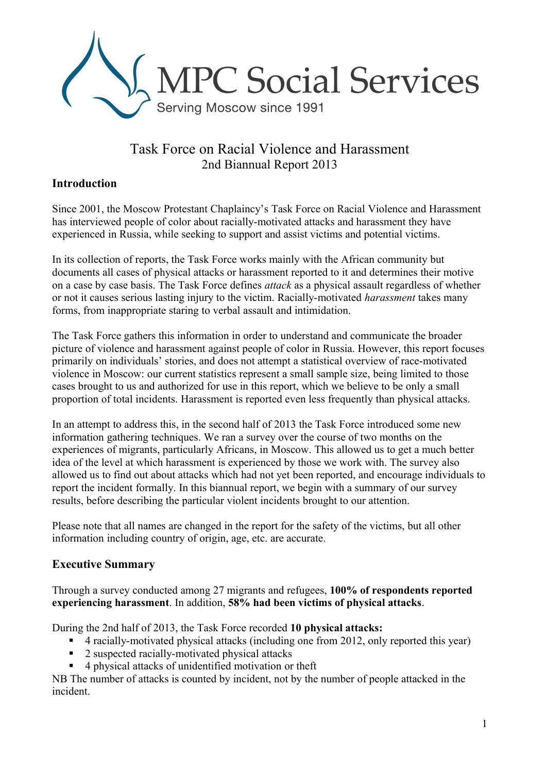

# Task Force on Racial Violence and Harassment 2nd Biannual Report 2013

### **Introduction**

Since 2001, the Moscow Protestant Chaplaincy's Task Force on Racial Violence and Harassment has interviewed people of color about racially-motivated attacks and harassment they have experienced in Russia, while seeking to support and assist victims and potential victims.

In its collection of reports, the Task Force works mainly with the African community but documents all cases of physical attacks or harassment reported to it and determines their motive on a case by case basis. The Task Force defines *attack* as a physical assault regardless of whether or not it causes serious lasting injury to the victim. Racially-motivated *harassment* takes many forms, from inappropriate staring to verbal assault and intimidation.

The Task Force gathers this information in order to understand and communicate the broader picture of violence and harassment against people of color in Russia. However, this report focuses primarily on individuals' stories, and does not attempt a statistical overview of race-motivated violence in Moscow: our current statistics represent a small sample size, being limited to those cases brought to us and authorized for use in this report, which we believe to be only a small proportion of total incidents. Harassment is reported even less frequently than physical attacks.

In an attempt to address this, in the second half of 2013 the Task Force introduced some new information gathering techniques. We ran a survey over the course of two months on the experiences of migrants, particularly Africans, in Moscow. This allowed us to get a much better idea of the level at which harassment is experienced by those we work with. The survey also allowed us to find out about attacks which had not yet been reported, and encourage individuals to report the incident formally. In this biannual report, we begin with a summary of our survey results, before describing the particular violent incidents brought to our attention.

Please note that all names are changed in the report for the safety of the victims, but all other information including country of origin, age, etc. are accurate.

### **Executive Summary**

Through a survey conducted among 27 migrants and refugees, **100% of respondents reported experiencing harassment**. In addition, **58% had been victims of physical attacks**.

During the 2nd half of 2013, the Task Force recorded **10 physical attacks:**

- 4 racially-motivated physical attacks (including one from 2012, only reported this year)
- 2 suspected racially-motivated physical attacks
- 4 physical attacks of unidentified motivation or theft

NB The number of attacks is counted by incident, not by the number of people attacked in the incident.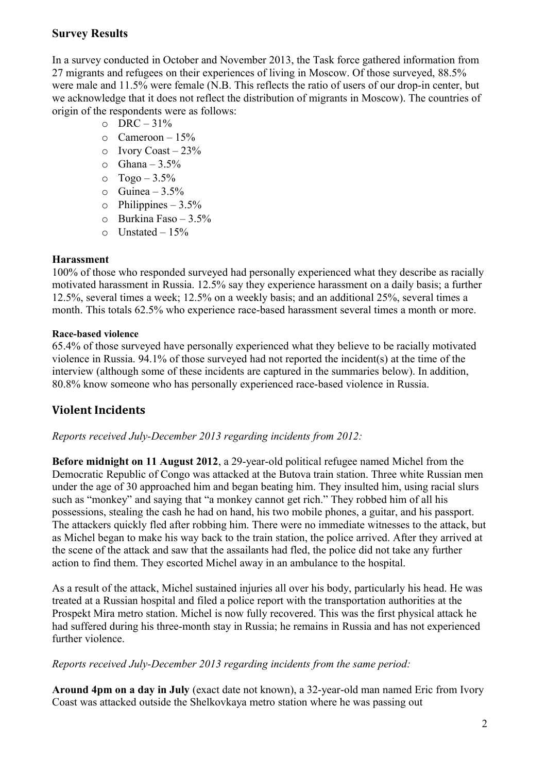### **Survey Results**

In a survey conducted in October and November 2013, the Task force gathered information from 27 migrants and refugees on their experiences of living in Moscow. Of those surveyed, 88.5% were male and 11.5% were female (N.B. This reflects the ratio of users of our drop-in center, but we acknowledge that it does not reflect the distribution of migrants in Moscow). The countries of origin of the respondents were as follows:

- $O$  DRC 31%
- $\circ$  Cameroon 15%
- $\circ$  Ivory Coast 23%
- $\circ$  Ghana 3.5%
- $\circ$  Togo 3.5%
- $\circ$  Guinea 3.5%
- $\circ$  Philippines 3.5%
- o Burkina Faso 3.5%
- $\circ$  Unstated 15%

#### **Harassment**

100% of those who responded surveyed had personally experienced what they describe as racially motivated harassment in Russia. 12.5% say they experience harassment on a daily basis; a further 12.5%, several times a week; 12.5% on a weekly basis; and an additional 25%, several times a month. This totals 62.5% who experience race-based harassment several times a month or more.

#### **Race-based violence**

65.4% of those surveyed have personally experienced what they believe to be racially motivated violence in Russia. 94.1% of those surveyed had not reported the incident(s) at the time of the interview (although some of these incidents are captured in the summaries below). In addition, 80.8% know someone who has personally experienced race-based violence in Russia.

## **Violent Incidents**

*Reports received July-December 2013 regarding incidents from 2012:*

**Before midnight on 11 August 2012**, a 29-year-old political refugee named Michel from the Democratic Republic of Congo was attacked at the Butova train station. Three white Russian men under the age of 30 approached him and began beating him. They insulted him, using racial slurs such as "monkey" and saying that "a monkey cannot get rich." They robbed him of all his possessions, stealing the cash he had on hand, his two mobile phones, a guitar, and his passport. The attackers quickly fled after robbing him. There were no immediate witnesses to the attack, but as Michel began to make his way back to the train station, the police arrived. After they arrived at the scene of the attack and saw that the assailants had fled, the police did not take any further action to find them. They escorted Michel away in an ambulance to the hospital.

As a result of the attack, Michel sustained injuries all over his body, particularly his head. He was treated at a Russian hospital and filed a police report with the transportation authorities at the Prospekt Mira metro station. Michel is now fully recovered. This was the first physical attack he had suffered during his three-month stay in Russia; he remains in Russia and has not experienced further violence

#### *Reports received July-December 2013 regarding incidents from the same period:*

**Around 4pm on a day in July** (exact date not known), a 32-year-old man named Eric from Ivory Coast was attacked outside the Shelkovkaya metro station where he was passing out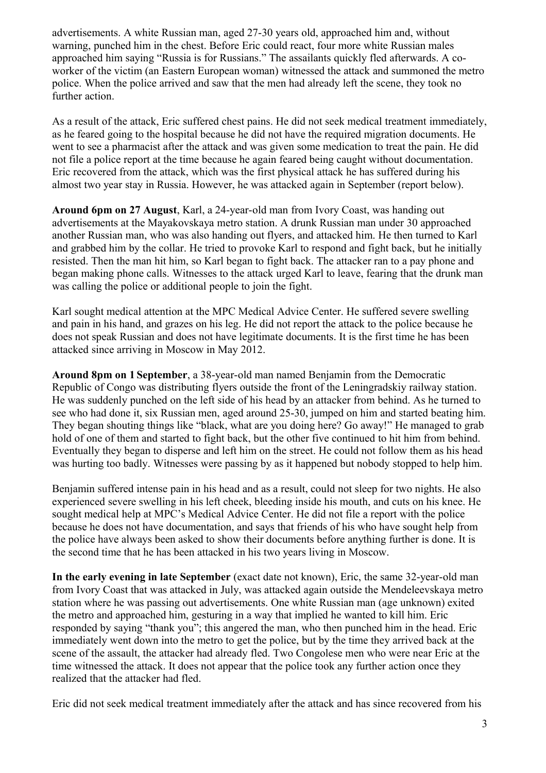advertisements. A white Russian man, aged 27-30 years old, approached him and, without warning, punched him in the chest. Before Eric could react, four more white Russian males approached him saying "Russia is for Russians." The assailants quickly fled afterwards. A coworker of the victim (an Eastern European woman) witnessed the attack and summoned the metro police. When the police arrived and saw that the men had already left the scene, they took no further action.

As a result of the attack, Eric suffered chest pains. He did not seek medical treatment immediately, as he feared going to the hospital because he did not have the required migration documents. He went to see a pharmacist after the attack and was given some medication to treat the pain. He did not file a police report at the time because he again feared being caught without documentation. Eric recovered from the attack, which was the first physical attack he has suffered during his almost two year stay in Russia. However, he was attacked again in September (report below).

**Around 6pm on 27 August**, Karl, a 24-year-old man from Ivory Coast, was handing out advertisements at the Mayakovskaya metro station. A drunk Russian man under 30 approached another Russian man, who was also handing out flyers, and attacked him. He then turned to Karl and grabbed him by the collar. He tried to provoke Karl to respond and fight back, but he initially resisted. Then the man hit him, so Karl began to fight back. The attacker ran to a pay phone and began making phone calls. Witnesses to the attack urged Karl to leave, fearing that the drunk man was calling the police or additional people to join the fight.

Karl sought medical attention at the MPC Medical Advice Center. He suffered severe swelling and pain in his hand, and grazes on his leg. He did not report the attack to the police because he does not speak Russian and does not have legitimate documents. It is the first time he has been attacked since arriving in Moscow in May 2012.

**Around 8pm on 1 September**, a 38-year-old man named Benjamin from the Democratic Republic of Congo was distributing flyers outside the front of the Leningradskiy railway station. He was suddenly punched on the left side of his head by an attacker from behind. As he turned to see who had done it, six Russian men, aged around 25-30, jumped on him and started beating him. They began shouting things like "black, what are you doing here? Go away!" He managed to grab hold of one of them and started to fight back, but the other five continued to hit him from behind. Eventually they began to disperse and left him on the street. He could not follow them as his head was hurting too badly. Witnesses were passing by as it happened but nobody stopped to help him.

Benjamin suffered intense pain in his head and as a result, could not sleep for two nights. He also experienced severe swelling in his left cheek, bleeding inside his mouth, and cuts on his knee. He sought medical help at MPC's Medical Advice Center. He did not file a report with the police because he does not have documentation, and says that friends of his who have sought help from the police have always been asked to show their documents before anything further is done. It is the second time that he has been attacked in his two years living in Moscow.

**In the early evening in late September** (exact date not known), Eric, the same 32-year-old man from Ivory Coast that was attacked in July, was attacked again outside the Mendeleevskaya metro station where he was passing out advertisements. One white Russian man (age unknown) exited the metro and approached him, gesturing in a way that implied he wanted to kill him. Eric responded by saying "thank you"; this angered the man, who then punched him in the head. Eric immediately went down into the metro to get the police, but by the time they arrived back at the scene of the assault, the attacker had already fled. Two Congolese men who were near Eric at the time witnessed the attack. It does not appear that the police took any further action once they realized that the attacker had fled.

Eric did not seek medical treatment immediately after the attack and has since recovered from his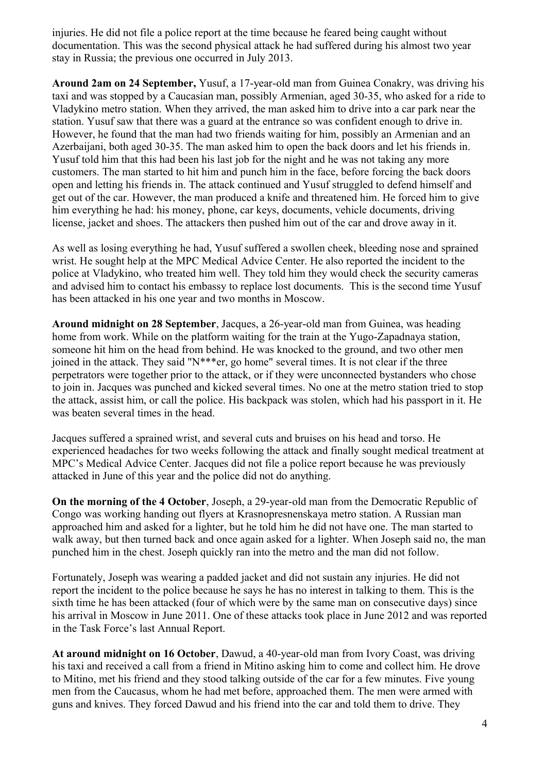injuries. He did not file a police report at the time because he feared being caught without documentation. This was the second physical attack he had suffered during his almost two year stay in Russia; the previous one occurred in July 2013.

**Around 2am on 24 September,** Yusuf, a 17-year-old man from Guinea Conakry, was driving his taxi and was stopped by a Caucasian man, possibly Armenian, aged 30-35, who asked for a ride to Vladykino metro station. When they arrived, the man asked him to drive into a car park near the station. Yusuf saw that there was a guard at the entrance so was confident enough to drive in. However, he found that the man had two friends waiting for him, possibly an Armenian and an Azerbaijani, both aged 30-35. The man asked him to open the back doors and let his friends in. Yusuf told him that this had been his last job for the night and he was not taking any more customers. The man started to hit him and punch him in the face, before forcing the back doors open and letting his friends in. The attack continued and Yusuf struggled to defend himself and get out of the car. However, the man produced a knife and threatened him. He forced him to give him everything he had: his money, phone, car keys, documents, vehicle documents, driving license, jacket and shoes. The attackers then pushed him out of the car and drove away in it.

As well as losing everything he had, Yusuf suffered a swollen cheek, bleeding nose and sprained wrist. He sought help at the MPC Medical Advice Center. He also reported the incident to the police at Vladykino, who treated him well. They told him they would check the security cameras and advised him to contact his embassy to replace lost documents. This is the second time Yusuf has been attacked in his one year and two months in Moscow.

**Around midnight on 28 September**, Jacques, a 26-year-old man from Guinea, was heading home from work. While on the platform waiting for the train at the Yugo-Zapadnaya station, someone hit him on the head from behind. He was knocked to the ground, and two other men joined in the attack. They said "N\*\*\*er, go home" several times. It is not clear if the three perpetrators were together prior to the attack, or if they were unconnected bystanders who chose to join in. Jacques was punched and kicked several times. No one at the metro station tried to stop the attack, assist him, or call the police. His backpack was stolen, which had his passport in it. He was beaten several times in the head.

Jacques suffered a sprained wrist, and several cuts and bruises on his head and torso. He experienced headaches for two weeks following the attack and finally sought medical treatment at MPC's Medical Advice Center. Jacques did not file a police report because he was previously attacked in June of this year and the police did not do anything.

**On the morning of the 4 October**, Joseph, a 29-year-old man from the Democratic Republic of Congo was working handing out flyers at Krasnopresnenskaya metro station. A Russian man approached him and asked for a lighter, but he told him he did not have one. The man started to walk away, but then turned back and once again asked for a lighter. When Joseph said no, the man punched him in the chest. Joseph quickly ran into the metro and the man did not follow.

Fortunately, Joseph was wearing a padded jacket and did not sustain any injuries. He did not report the incident to the police because he says he has no interest in talking to them. This is the sixth time he has been attacked (four of which were by the same man on consecutive days) since his arrival in Moscow in June 2011. One of these attacks took place in June 2012 and was reported in the Task Force's last Annual Report.

**At around midnight on 16 October**, Dawud, a 40-year-old man from Ivory Coast, was driving his taxi and received a call from a friend in Mitino asking him to come and collect him. He drove to Mitino, met his friend and they stood talking outside of the car for a few minutes. Five young men from the Caucasus, whom he had met before, approached them. The men were armed with guns and knives. They forced Dawud and his friend into the car and told them to drive. They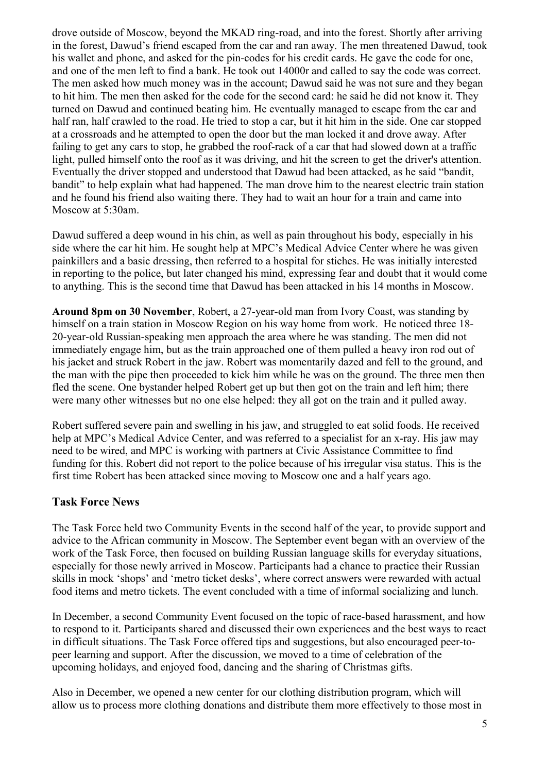drove outside of Moscow, beyond the MKAD ring-road, and into the forest. Shortly after arriving in the forest, Dawud's friend escaped from the car and ran away. The men threatened Dawud, took his wallet and phone, and asked for the pin-codes for his credit cards. He gave the code for one, and one of the men left to find a bank. He took out 14000r and called to say the code was correct. The men asked how much money was in the account; Dawud said he was not sure and they began to hit him. The men then asked for the code for the second card: he said he did not know it. They turned on Dawud and continued beating him. He eventually managed to escape from the car and half ran, half crawled to the road. He tried to stop a car, but it hit him in the side. One car stopped at a crossroads and he attempted to open the door but the man locked it and drove away. After failing to get any cars to stop, he grabbed the roof-rack of a car that had slowed down at a traffic light, pulled himself onto the roof as it was driving, and hit the screen to get the driver's attention. Eventually the driver stopped and understood that Dawud had been attacked, as he said "bandit, bandit" to help explain what had happened. The man drove him to the nearest electric train station and he found his friend also waiting there. They had to wait an hour for a train and came into Moscow at 5:30am.

Dawud suffered a deep wound in his chin, as well as pain throughout his body, especially in his side where the car hit him. He sought help at MPC's Medical Advice Center where he was given painkillers and a basic dressing, then referred to a hospital for stiches. He was initially interested in reporting to the police, but later changed his mind, expressing fear and doubt that it would come to anything. This is the second time that Dawud has been attacked in his 14 months in Moscow.

**Around 8pm on 30 November**, Robert, a 27-year-old man from Ivory Coast, was standing by himself on a train station in Moscow Region on his way home from work. He noticed three 18- 20-year-old Russian-speaking men approach the area where he was standing. The men did not immediately engage him, but as the train approached one of them pulled a heavy iron rod out of his jacket and struck Robert in the jaw. Robert was momentarily dazed and fell to the ground, and the man with the pipe then proceeded to kick him while he was on the ground. The three men then fled the scene. One bystander helped Robert get up but then got on the train and left him; there were many other witnesses but no one else helped: they all got on the train and it pulled away.

Robert suffered severe pain and swelling in his jaw, and struggled to eat solid foods. He received help at MPC's Medical Advice Center, and was referred to a specialist for an x-ray. His jaw may need to be wired, and MPC is working with partners at Civic Assistance Committee to find funding for this. Robert did not report to the police because of his irregular visa status. This is the first time Robert has been attacked since moving to Moscow one and a half years ago.

### **Task Force News**

The Task Force held two Community Events in the second half of the year, to provide support and advice to the African community in Moscow. The September event began with an overview of the work of the Task Force, then focused on building Russian language skills for everyday situations, especially for those newly arrived in Moscow. Participants had a chance to practice their Russian skills in mock 'shops' and 'metro ticket desks', where correct answers were rewarded with actual food items and metro tickets. The event concluded with a time of informal socializing and lunch.

In December, a second Community Event focused on the topic of race-based harassment, and how to respond to it. Participants shared and discussed their own experiences and the best ways to react in difficult situations. The Task Force offered tips and suggestions, but also encouraged peer-topeer learning and support. After the discussion, we moved to a time of celebration of the upcoming holidays, and enjoyed food, dancing and the sharing of Christmas gifts.

Also in December, we opened a new center for our clothing distribution program, which will allow us to process more clothing donations and distribute them more effectively to those most in